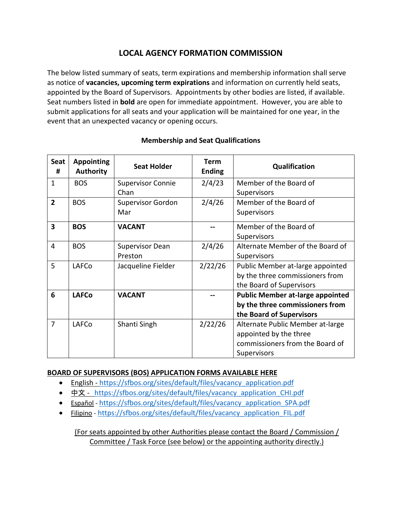## **LOCAL AGENCY FORMATION COMMISSION**

The below listed summary of seats, term expirations and membership information shall serve as notice of **vacancies, upcoming term expirations** and information on currently held seats, appointed by the Board of Supervisors. Appointments by other bodies are listed, if available. Seat numbers listed in **bold** are open for immediate appointment. However, you are able to submit applications for all seats and your application will be maintained for one year, in the event that an unexpected vacancy or opening occurs.

| <b>Seat</b><br>#        | <b>Appointing</b><br><b>Authority</b> | <b>Seat Holder</b>       | <b>Term</b><br><b>Ending</b> | Qualification                           |
|-------------------------|---------------------------------------|--------------------------|------------------------------|-----------------------------------------|
| $\mathbf{1}$            | <b>BOS</b>                            | <b>Supervisor Connie</b> | 2/4/23                       | Member of the Board of                  |
|                         |                                       | Chan                     |                              | Supervisors                             |
| $\overline{2}$          | <b>BOS</b>                            | <b>Supervisor Gordon</b> | 2/4/26                       | Member of the Board of                  |
|                         |                                       | Mar                      |                              | Supervisors                             |
| $\overline{\mathbf{3}}$ | <b>BOS</b>                            | <b>VACANT</b>            |                              | Member of the Board of                  |
|                         |                                       |                          |                              | Supervisors                             |
| $\overline{4}$          | <b>BOS</b>                            | <b>Supervisor Dean</b>   | 2/4/26                       | Alternate Member of the Board of        |
|                         |                                       | Preston                  |                              | Supervisors                             |
| 5                       | LAFCo                                 | Jacqueline Fielder       | 2/22/26                      | Public Member at-large appointed        |
|                         |                                       |                          |                              | by the three commissioners from         |
|                         |                                       |                          |                              | the Board of Supervisors                |
| 6                       | <b>LAFCo</b>                          | <b>VACANT</b>            |                              | <b>Public Member at-large appointed</b> |
|                         |                                       |                          |                              | by the three commissioners from         |
|                         |                                       |                          |                              | the Board of Supervisors                |
| $\overline{7}$          | LAFCo                                 | Shanti Singh             | 2/22/26                      | Alternate Public Member at-large        |
|                         |                                       |                          |                              | appointed by the three                  |
|                         |                                       |                          |                              | commissioners from the Board of         |
|                         |                                       |                          |                              | Supervisors                             |

## **Membership and Seat Qualifications**

## **BOARD OF SUPERVISORS (BOS) APPLICATION FORMS AVAILABLE HERE**

- English [https://sfbos.org/sites/default/files/vacancy\\_application.pdf](https://sfbos.org/sites/default/files/vacancy_application.pdf)
- [中文](https://sfbos.org/sites/default/files/vacancy_application_CHI.pdf) https://sfbos.org/sites/default/files/vacancy application CHI.pdf
- [Español](https://sfbos.org/sites/default/files/vacancy_application_SPA.pdf) https://sfbos.org/sites/default/files/vacancy application SPA.pdf
- [Filipino](https://sfbos.org/sites/default/files/vacancy_application_FIL.pdf) [https://sfbos.org/sites/default/files/vacancy\\_application\\_FIL.pdf](https://sfbos.org/sites/default/files/vacancy_application_FIL.pdf)

(For seats appointed by other Authorities please contact the Board / Commission / Committee / Task Force (see below) or the appointing authority directly.)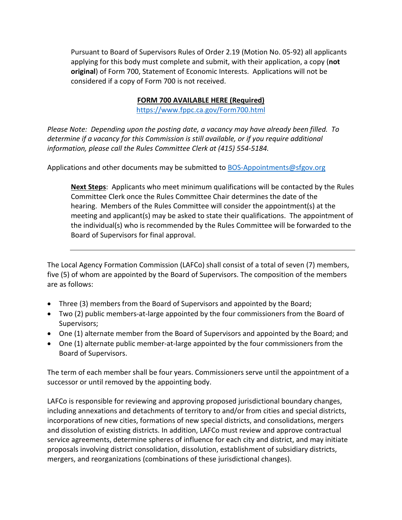Pursuant to Board of Supervisors Rules of Order 2.19 (Motion No. 05-92) all applicants applying for this body must complete and submit, with their application, a copy (**not original**) of Form 700, Statement of Economic Interests. Applications will not be considered if a copy of Form 700 is not received.

## **FORM 700 AVAILABLE HERE (Required)**

<https://www.fppc.ca.gov/Form700.html>

*Please Note: Depending upon the posting date, a vacancy may have already been filled. To determine if a vacancy for this Commission is still available, or if you require additional information, please call the Rules Committee Clerk at (415) 554-5184.*

Applications and other documents may be submitted to [BOS-Appointments@sfgov.org](mailto:BOS-Appointments@sfgov.org)

**Next Steps**: Applicants who meet minimum qualifications will be contacted by the Rules Committee Clerk once the Rules Committee Chair determines the date of the hearing. Members of the Rules Committee will consider the appointment(s) at the meeting and applicant(s) may be asked to state their qualifications. The appointment of the individual(s) who is recommended by the Rules Committee will be forwarded to the Board of Supervisors for final approval.

The Local Agency Formation Commission (LAFCo) shall consist of a total of seven (7) members, five (5) of whom are appointed by the Board of Supervisors. The composition of the members are as follows:

- Three (3) members from the Board of Supervisors and appointed by the Board;
- Two (2) public members-at-large appointed by the four commissioners from the Board of Supervisors;
- One (1) alternate member from the Board of Supervisors and appointed by the Board; and
- One (1) alternate public member-at-large appointed by the four commissioners from the Board of Supervisors.

The term of each member shall be four years. Commissioners serve until the appointment of a successor or until removed by the appointing body.

LAFCo is responsible for reviewing and approving proposed jurisdictional boundary changes, including annexations and detachments of territory to and/or from cities and special districts, incorporations of new cities, formations of new special districts, and consolidations, mergers and dissolution of existing districts. In addition, LAFCo must review and approve contractual service agreements, determine spheres of influence for each city and district, and may initiate proposals involving district consolidation, dissolution, establishment of subsidiary districts, mergers, and reorganizations (combinations of these jurisdictional changes).